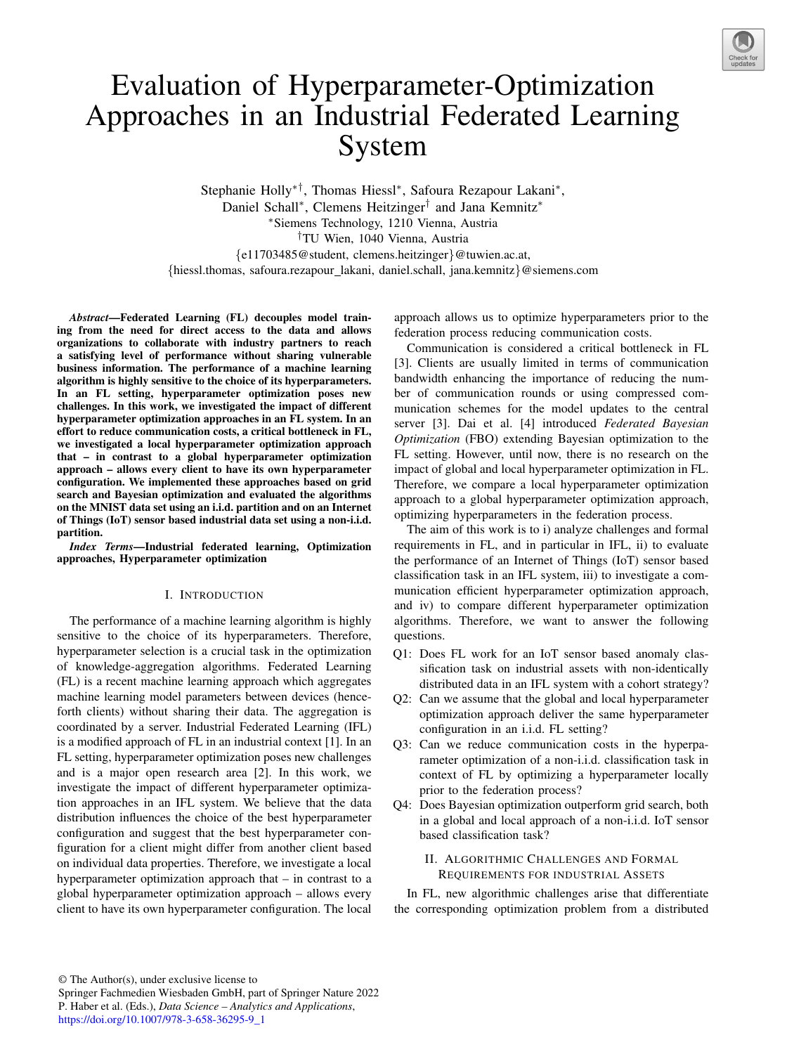

# Evaluation of Hyperparameter-Optimization Approaches in an Industrial Federated Learning System

Stephanie Holly∗*†*, Thomas Hiessl∗, Safoura Rezapour Lakani∗, Daniel Schall∗, Clemens Heitzinger*†* and Jana Kemnitz∗ ∗Siemens Technology, 1210 Vienna, Austria *†*TU Wien, 1040 Vienna, Austria *{*e11703485@student, clemens.heitzinger*}*@tuwien.ac.at, *{*hiessl.thomas, safoura.rezapour lakani, daniel.schall, jana.kemnitz*}*@siemens.com

*Abstract*—Federated Learning (FL) decouples model training from the need for direct access to the data and allows organizations to collaborate with industry partners to reach a satisfying level of performance without sharing vulnerable business information. The performance of a machine learning algorithm is highly sensitive to the choice of its hyperparameters. In an FL setting, hyperparameter optimization poses new challenges. In this work, we investigated the impact of different hyperparameter optimization approaches in an FL system. In an effort to reduce communication costs, a critical bottleneck in FL, we investigated a local hyperparameter optimization approach that – in contrast to a global hyperparameter optimization approach – allows every client to have its own hyperparameter configuration. We implemented these approaches based on grid search and Bayesian optimization and evaluated the algorithms on the MNIST data set using an i.i.d. partition and on an Internet of Things (IoT) sensor based industrial data set using a non-i.i.d. partition.

*Index Terms*—Industrial federated learning, Optimization approaches, Hyperparameter optimization

## I. INTRODUCTION

The performance of a machine learning algorithm is highly sensitive to the choice of its hyperparameters. Therefore, hyperparameter selection is a crucial task in the optimization of knowledge-aggregation algorithms. Federated Learning (FL) is a recent machine learning approach which aggregates machine learning model parameters between devices (henceforth clients) without sharing their data. The aggregation is coordinated by a server. Industrial Federated Learning (IFL) is a modified approach of FL in an industrial context [1]. In an FL setting, hyperparameter optimization poses new challenges and is a major open research area [2]. In this work, we investigate the impact of different hyperparameter optimization approaches in an IFL system. We believe that the data distribution influences the choice of the best hyperparameter configuration and suggest that the best hyperparameter configuration for a client might differ from another client based on individual data properties. Therefore, we investigate a local hyperparameter optimization approach that – in contrast to a global hyperparameter optimization approach – allows every client to have its own hyperparameter configuration. The local approach allows us to optimize hyperparameters prior to the federation process reducing communication costs.

Communication is considered a critical bottleneck in FL [3]. Clients are usually limited in terms of communication bandwidth enhancing the importance of reducing the number of communication rounds or using compressed communication schemes for the model updates to the central server [3]. Dai et al. [4] introduced *Federated Bayesian Optimization* (FBO) extending Bayesian optimization to the FL setting. However, until now, there is no research on the impact of global and local hyperparameter optimization in FL. Therefore, we compare a local hyperparameter optimization approach to a global hyperparameter optimization approach, optimizing hyperparameters in the federation process.

The aim of this work is to i) analyze challenges and formal requirements in FL, and in particular in IFL, ii) to evaluate the performance of an Internet of Things (IoT) sensor based classification task in an IFL system, iii) to investigate a communication efficient hyperparameter optimization approach, and iv) to compare different hyperparameter optimization algorithms. Therefore, we want to answer the following questions.

- Q1: Does FL work for an IoT sensor based anomaly classification task on industrial assets with non-identically distributed data in an IFL system with a cohort strategy?
- Q2: Can we assume that the global and local hyperparameter optimization approach deliver the same hyperparameter configuration in an i.i.d. FL setting?
- Q3: Can we reduce communication costs in the hyperparameter optimization of a non-i.i.d. classification task in context of FL by optimizing a hyperparameter locally prior to the federation process?
- Q4: Does Bayesian optimization outperform grid search, both in a global and local approach of a non-i.i.d. IoT sensor based classification task?

## II. ALGORITHMIC CHALLENGES AND FORMAL REQUIREMENTS FOR INDUSTRIAL ASSETS

In FL, new algorithmic challenges arise that differentiate the corresponding optimization problem from a distributed

Springer Fachmedien Wiesbaden GmbH, part of Springer Nature 2022 P. Haber et al. (Eds.), *Data Science – Analytics and Applications*, https://doi.org/10.1007/978-3-658-36295-9\_1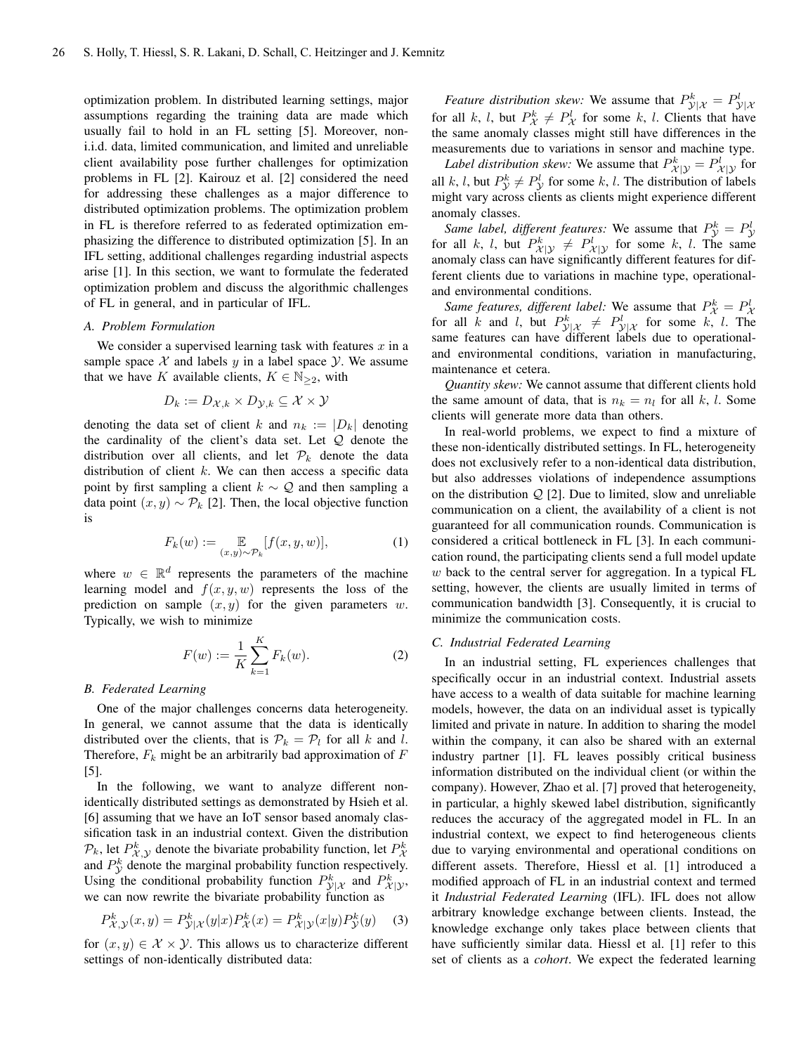optimization problem. In distributed learning settings, major assumptions regarding the training data are made which usually fail to hold in an FL setting [5]. Moreover, noni.i.d. data, limited communication, and limited and unreliable client availability pose further challenges for optimization problems in FL [2]. Kairouz et al. [2] considered the need for addressing these challenges as a major difference to distributed optimization problems. The optimization problem in FL is therefore referred to as federated optimization emphasizing the difference to distributed optimization [5]. In an IFL setting, additional challenges regarding industrial aspects arise [1]. In this section, we want to formulate the federated optimization problem and discuss the algorithmic challenges of FL in general, and in particular of IFL.

# *A. Problem Formulation*

We consider a supervised learning task with features *x* in a sample space  $X$  and labels  $y$  in a label space  $Y$ . We assume that we have *K* available clients,  $K \in \mathbb{N}_{\geq 2}$ , with

$$
D_k := D_{\mathcal{X},k} \times D_{\mathcal{Y},k} \subseteq \mathcal{X} \times \mathcal{Y}
$$

denoting the data set of client *k* and  $n_k := |D_k|$  denoting the cardinality of the client's data set. Let *Q* denote the distribution over all clients, and let  $\mathcal{P}_k$  denote the data distribution of client *k*. We can then access a specific data point by first sampling a client *k* ∼ *Q* and then sampling a data point  $(x, y) \sim \mathcal{P}_k$  [2]. Then, the local objective function is

$$
F_k(w) := \mathop{\mathbb{E}}_{(x,y)\sim \mathcal{P}_k}[f(x,y,w)],\tag{1}
$$

where  $w \in \mathbb{R}^d$  represents the parameters of the machine learning model and  $f(x, y, w)$  represents the loss of the prediction on sample  $(x, y)$  for the given parameters  $w$ . Typically, we wish to minimize

$$
F(w) := \frac{1}{K} \sum_{k=1}^{K} F_k(w).
$$
 (2)

# *B. Federated Learning*

One of the major challenges concerns data heterogeneity. In general, we cannot assume that the data is identically distributed over the clients, that is  $\mathcal{P}_k = \mathcal{P}_l$  for all *k* and *l*. Therefore, *F<sup>k</sup>* might be an arbitrarily bad approximation of *F* [5].

In the following, we want to analyze different nonidentically distributed settings as demonstrated by Hsieh et al. [6] assuming that we have an IoT sensor based anomaly classification task in an industrial context. Given the distribution  $\mathcal{P}_k$ , let  $P_{\mathcal{X}, \mathcal{Y}}^k$  denote the bivariate probability function, let  $P_{\mathcal{X}}^k$  $\chi$ ,  $\chi$ ,  $\chi$  and  $P_Y^k$  denote the marginal probability function respectively. Using the conditional probability function  $P_{\mathcal{Y}|\mathcal{X}}^k$  and  $P_{\mathcal{X}|\mathcal{Y}}^k$ , we can now rewrite the bivariate probability function as

$$
P_{\mathcal{X}, \mathcal{Y}}^k(x, y) = P_{\mathcal{Y}|\mathcal{X}}^k(y|x) P_{\mathcal{X}}^k(x) = P_{\mathcal{X}|\mathcal{Y}}^k(x|y) P_{\mathcal{Y}}^k(y) \tag{3}
$$

for  $(x, y) \in \mathcal{X} \times \mathcal{Y}$ . This allows us to characterize different settings of non-identically distributed data:

*Feature distribution skew:* We assume that  $P_{\mathcal{Y}}^k = P_{\mathcal{Y}}^k$ for all *k*, *l*, but  $P^k_{\mathcal{X}} \neq P^l_{\mathcal{X}}$  for some *k*, *l*. Clients that have the same anomaly classes might still have differences in the measurements due to variations in sensor and machine type.

*Label distribution skew:* We assume that  $P_{\mathcal{X}|\mathcal{Y}}^k = P_{\mathcal{X}|\mathcal{Y}}^l$  for all *k*, *l*, but  $P^k_{\mathcal{Y}} \neq P^l_{\mathcal{Y}}$  for some *k*, *l*. The distribution of labels might vary across clients as clients might experience different anomaly classes.

Same label, different features: We assume that  $P_{\mathcal{Y}}^k = P_{\mathcal{Y}}^l$  for all k, l, but  $P_{\mathcal{X}|\mathcal{Y}}^k \neq P_{\mathcal{X}|\mathcal{Y}}^l$  for some k, l. The same anomaly class can have significantly different features for different clients due to variations in machine type, operationaland environmental conditions.

Same features, different label: We assume that  $P_X^k = P_X^l$  for all k and l, but  $P_{\mathcal{Y}|\mathcal{X}}^k \neq P_{\mathcal{Y}|\mathcal{X}}^l$  for some k, l. The same features can have different labels due to operationaland environmental conditions, variation in manufacturing, maintenance et cetera.

*Quantity skew:* We cannot assume that different clients hold the same amount of data, that is  $n_k = n_l$  for all *k*, *l*. Some clients will generate more data than others.

In real-world problems, we expect to find a mixture of these non-identically distributed settings. In FL, heterogeneity does not exclusively refer to a non-identical data distribution, but also addresses violations of independence assumptions on the distribution *Q* [2]. Due to limited, slow and unreliable communication on a client, the availability of a client is not guaranteed for all communication rounds. Communication is considered a critical bottleneck in FL [3]. In each communication round, the participating clients send a full model update *w* back to the central server for aggregation. In a typical FL setting, however, the clients are usually limited in terms of communication bandwidth [3]. Consequently, it is crucial to minimize the communication costs.

#### *C. Industrial Federated Learning*

In an industrial setting, FL experiences challenges that specifically occur in an industrial context. Industrial assets have access to a wealth of data suitable for machine learning models, however, the data on an individual asset is typically limited and private in nature. In addition to sharing the model within the company, it can also be shared with an external industry partner [1]. FL leaves possibly critical business information distributed on the individual client (or within the company). However, Zhao et al. [7] proved that heterogeneity, in particular, a highly skewed label distribution, significantly reduces the accuracy of the aggregated model in FL. In an industrial context, we expect to find heterogeneous clients due to varying environmental and operational conditions on different assets. Therefore, Hiessl et al. [1] introduced a modified approach of FL in an industrial context and termed it *Industrial Federated Learning* (IFL). IFL does not allow arbitrary knowledge exchange between clients. Instead, the knowledge exchange only takes place between clients that have sufficiently similar data. Hiessl et al. [1] refer to this set of clients as a *cohort*. We expect the federated learning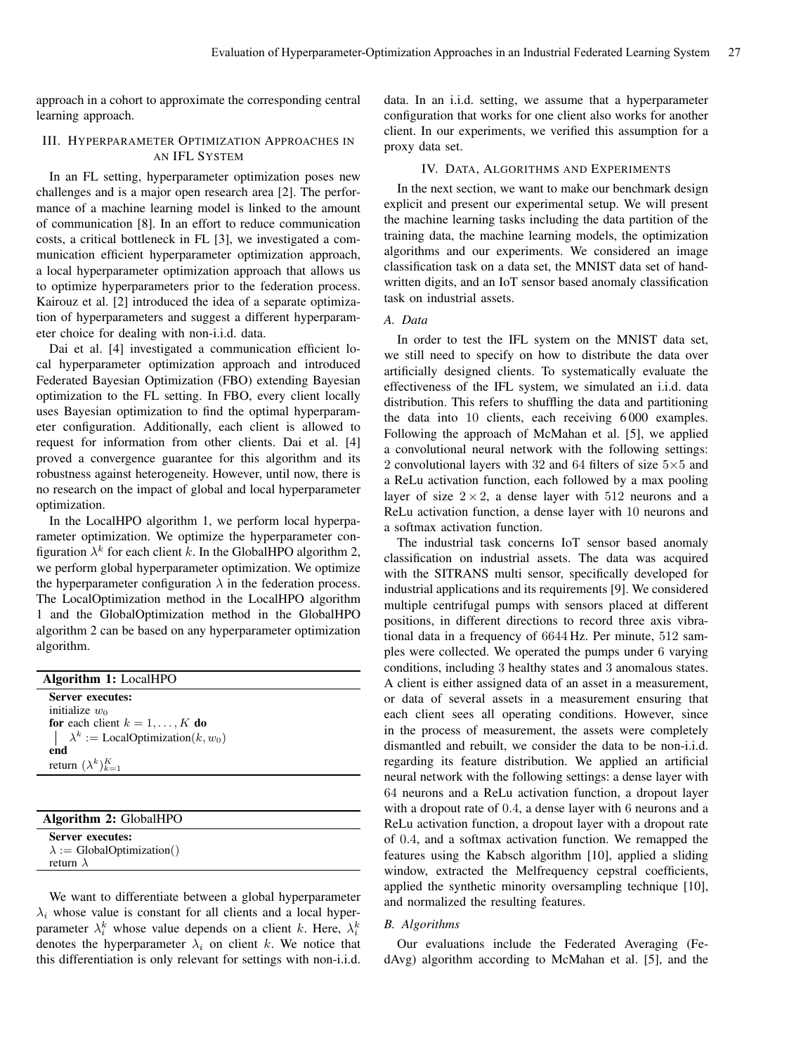approach in a cohort to approximate the corresponding central learning approach.

# III. HYPERPARAMETER OPTIMIZATION APPROACHES IN AN IFL SYSTEM

In an FL setting, hyperparameter optimization poses new challenges and is a major open research area [2]. The performance of a machine learning model is linked to the amount of communication [8]. In an effort to reduce communication costs, a critical bottleneck in FL [3], we investigated a communication efficient hyperparameter optimization approach, a local hyperparameter optimization approach that allows us to optimize hyperparameters prior to the federation process. Kairouz et al. [2] introduced the idea of a separate optimization of hyperparameters and suggest a different hyperparameter choice for dealing with non-i.i.d. data.

Dai et al. [4] investigated a communication efficient local hyperparameter optimization approach and introduced Federated Bayesian Optimization (FBO) extending Bayesian optimization to the FL setting. In FBO, every client locally uses Bayesian optimization to find the optimal hyperparameter configuration. Additionally, each client is allowed to request for information from other clients. Dai et al. [4] proved a convergence guarantee for this algorithm and its robustness against heterogeneity. However, until now, there is no research on the impact of global and local hyperparameter optimization.

In the LocalHPO algorithm 1, we perform local hyperparameter optimization. We optimize the hyperparameter configuration  $\lambda^k$  for each client *k*. In the GlobalHPO algorithm 2, we perform global hyperparameter optimization. We optimize the hyperparameter configuration  $\lambda$  in the federation process. The LocalOptimization method in the LocalHPO algorithm 1 and the GlobalOptimization method in the GlobalHPO algorithm 2 can be based on any hyperparameter optimization algorithm.

| Algorithm 1: LocalHPO                                                                                                                                         |
|---------------------------------------------------------------------------------------------------------------------------------------------------------------|
| Server executes:<br>initialize $w_0$<br>for each client $k = 1, , K$ do<br>$\lambda^k :=$ LocalOptimization(k, $w_0$ )<br>end<br>return $(\lambda^k)_{k=1}^K$ |
|                                                                                                                                                               |
| Algorithm 2: GlobalHPO                                                                                                                                        |
|                                                                                                                                                               |

Server executes:  $\lambda$  := GlobalOptimization() return λ

We want to differentiate between a global hyperparameter  $\lambda_i$  whose value is constant for all clients and a local hyperparameter  $\lambda_i^k$  whose value depends on a client *k*. Here,  $\lambda_i^k$ denotes the hyperparameter  $\lambda_i$  on client *k*. We notice that this differentiation is only relevant for settings with non-i.i.d.

data. In an i.i.d. setting, we assume that a hyperparameter configuration that works for one client also works for another client. In our experiments, we verified this assumption for a proxy data set.

# IV. DATA, ALGORITHMS AND EXPERIMENTS

In the next section, we want to make our benchmark design explicit and present our experimental setup. We will present the machine learning tasks including the data partition of the training data, the machine learning models, the optimization algorithms and our experiments. We considered an image classification task on a data set, the MNIST data set of handwritten digits, and an IoT sensor based anomaly classification task on industrial assets.

# *A. Data*

In order to test the IFL system on the MNIST data set, we still need to specify on how to distribute the data over artificially designed clients. To systematically evaluate the effectiveness of the IFL system, we simulated an i.i.d. data distribution. This refers to shuffling the data and partitioning the data into 10 clients, each receiving 6 000 examples. Following the approach of McMahan et al. [5], we applied a convolutional neural network with the following settings: 2 convolutional layers with 32 and 64 filters of size  $5\times 5$  and a ReLu activation function, each followed by a max pooling layer of size  $2 \times 2$ , a dense layer with 512 neurons and a ReLu activation function, a dense layer with 10 neurons and a softmax activation function.

The industrial task concerns IoT sensor based anomaly classification on industrial assets. The data was acquired with the SITRANS multi sensor, specifically developed for industrial applications and its requirements [9]. We considered multiple centrifugal pumps with sensors placed at different positions, in different directions to record three axis vibrational data in a frequency of 6644 Hz. Per minute, 512 samples were collected. We operated the pumps under 6 varying conditions, including 3 healthy states and 3 anomalous states. A client is either assigned data of an asset in a measurement, or data of several assets in a measurement ensuring that each client sees all operating conditions. However, since in the process of measurement, the assets were completely dismantled and rebuilt, we consider the data to be non-i.i.d. regarding its feature distribution. We applied an artificial neural network with the following settings: a dense layer with 64 neurons and a ReLu activation function, a dropout layer with a dropout rate of 0*.*4, a dense layer with 6 neurons and a ReLu activation function, a dropout layer with a dropout rate of 0*.*4, and a softmax activation function. We remapped the features using the Kabsch algorithm [10], applied a sliding window, extracted the Melfrequency cepstral coefficients, applied the synthetic minority oversampling technique [10], and normalized the resulting features.

# *B. Algorithms*

Our evaluations include the Federated Averaging (FedAvg) algorithm according to McMahan et al. [5], and the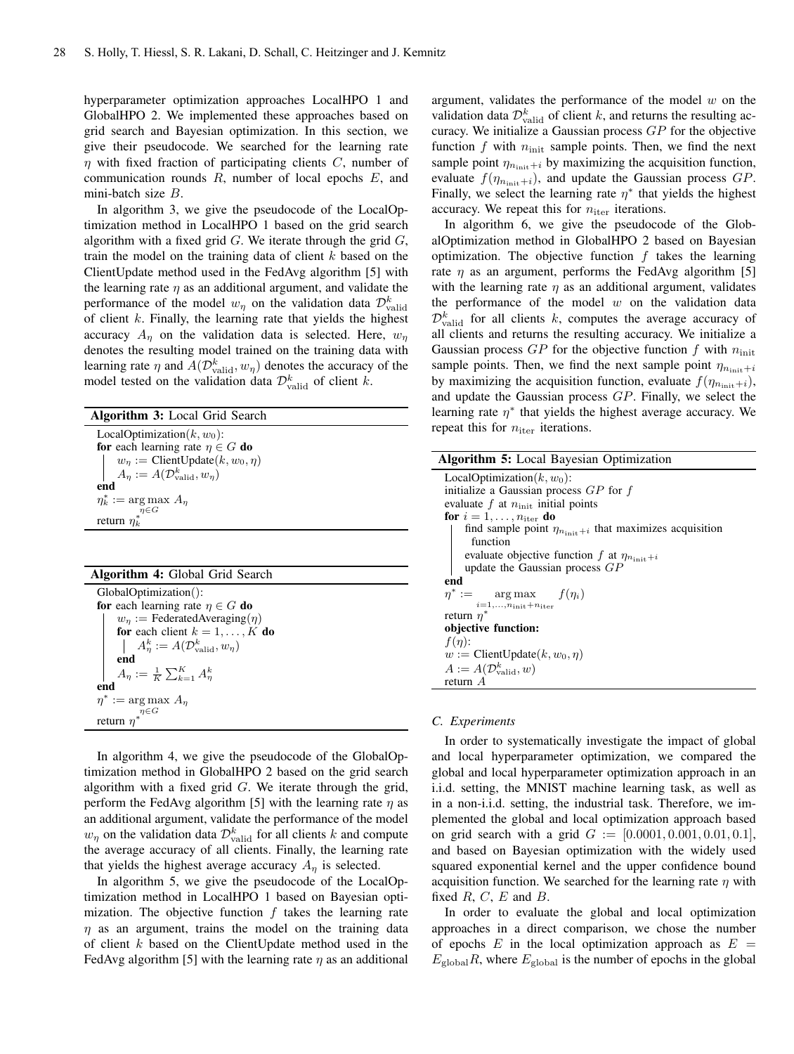hyperparameter optimization approaches LocalHPO 1 and GlobalHPO 2. We implemented these approaches based on grid search and Bayesian optimization. In this section, we give their pseudocode. We searched for the learning rate η with fixed fraction of participating clients *C*, number of communication rounds *R*, number of local epochs *E*, and mini-batch size *B*.

In algorithm 3, we give the pseudocode of the LocalOptimization method in LocalHPO 1 based on the grid search algorithm with a fixed grid *G*. We iterate through the grid *G*, train the model on the training data of client *k* based on the ClientUpdate method used in the FedAvg algorithm [5] with the learning rate  $\eta$  as an additional argument, and validate the performance of the model  $w_{\eta}$  on the validation data  $\mathcal{D}_{\text{valid}}^k$ of client *k*. Finally, the learning rate that yields the highest accuracy  $A_n$  on the validation data is selected. Here,  $w_n$ denotes the resulting model trained on the training data with learning rate  $\eta$  and  $A(\mathcal{D}_{\text{valid}}^k, w_{\eta})$  denotes the accuracy of the model tested on the validation data  $\mathcal{D}_{\text{valid}}^k$  of client *k*.

| <b>Algorithm 3:</b> Local Grid Search                                                                                              |
|------------------------------------------------------------------------------------------------------------------------------------|
| LocalOptimization $(k, w_0)$ :                                                                                                     |
| for each learning rate $\eta \in G$ do                                                                                             |
|                                                                                                                                    |
| $\begin{cases} w_{\eta} := \text{ClientUpdate}(k, w_0, \eta) \\ A_{\eta} := A(\mathcal{D}_{\text{valid}}^k, w_{\eta}) \end{cases}$ |
| end                                                                                                                                |
| $\eta_k^* := \arg \max A_n$                                                                                                        |
|                                                                                                                                    |
| return $\eta_k^{*\!\!\!\!\!-G}$                                                                                                    |

## Algorithm 4: Global Grid Search

| GlobalOptimization():                                 |  |  |  |  |  |
|-------------------------------------------------------|--|--|--|--|--|
| for each learning rate $\eta \in G$ do                |  |  |  |  |  |
| $w_n :=$ Federated Averaging ( $\eta$ )               |  |  |  |  |  |
| for each client $k = 1, , K$ do                       |  |  |  |  |  |
| $A_n^k := A(\mathcal{D}_{\text{valid}}^k, w_n)$       |  |  |  |  |  |
| end                                                   |  |  |  |  |  |
| $A_{\eta} := \frac{1}{K} \sum_{k=1}^{K} A_{\eta}^{k}$ |  |  |  |  |  |
| end                                                   |  |  |  |  |  |
| $\eta^* := \arg \max A_n$                             |  |  |  |  |  |
|                                                       |  |  |  |  |  |
| return $\overset{\eta \in G}{n^*}$                    |  |  |  |  |  |

In algorithm 4, we give the pseudocode of the GlobalOptimization method in GlobalHPO 2 based on the grid search algorithm with a fixed grid *G*. We iterate through the grid, perform the FedAvg algorithm [5] with the learning rate  $\eta$  as an additional argument, validate the performance of the model  $w_{\eta}$  on the validation data  $\mathcal{D}_{\text{valid}}^k$  for all clients *k* and compute the average accuracy of all clients. Finally, the learning rate that yields the highest average accuracy  $A_n$  is selected.

In algorithm 5, we give the pseudocode of the LocalOptimization method in LocalHPO 1 based on Bayesian optimization. The objective function *f* takes the learning rate  $\eta$  as an argument, trains the model on the training data of client *k* based on the ClientUpdate method used in the FedAvg algorithm [5] with the learning rate  $\eta$  as an additional argument, validates the performance of the model *w* on the validation data  $\mathcal{D}_{\text{valid}}^k$  of client *k*, and returns the resulting accuracy. We initialize a Gaussian process *GP* for the objective function  $f$  with  $n_{\text{init}}$  sample points. Then, we find the next sample point  $\eta_{n_{\text{init}}+i}$  by maximizing the acquisition function, evaluate  $f(\eta_{n_{\text{init}}+i})$ , and update the Gaussian process *GP*. Finally, we select the learning rate  $\eta^*$  that yields the highest accuracy. We repeat this for  $n_{\text{iter}}$  iterations.

In algorithm 6, we give the pseudocode of the GlobalOptimization method in GlobalHPO 2 based on Bayesian optimization. The objective function *f* takes the learning rate  $\eta$  as an argument, performs the FedAvg algorithm [5] with the learning rate  $\eta$  as an additional argument, validates the performance of the model *w* on the validation data  $\mathcal{D}_{\text{valid}}^k$  for all clients *k*, computes the average accuracy of all clients and returns the resulting accuracy. We initialize a Gaussian process *GP* for the objective function *f* with *n*init sample points. Then, we find the next sample point  $\eta_{n_{\text{init}}+i}$ by maximizing the acquisition function, evaluate  $f(\eta_{n_{\text{init}}+i})$ , and update the Gaussian process *GP*. Finally, we select the learning rate  $\eta^*$  that yields the highest average accuracy. We repeat this for  $n_{\text{iter}}$  iterations.

| Algorithm 5: Local Bayesian Optimization                                |
|-------------------------------------------------------------------------|
| LocalOptimization $(k, w_0)$ :                                          |
| initialize a Gaussian process $GP$ for $f$                              |
| evaluate f at $n_{\text{init}}$ initial points                          |
| for $i = 1, \ldots, n_{\text{iter}}$ do                                 |
| find sample point $\eta_{n_{\text{init}}+i}$ that maximizes acquisition |
| function                                                                |
| evaluate objective function f at $\eta_{n_{\text{init}}+i}$             |
| update the Gaussian process $GP$                                        |
| end                                                                     |
| $\eta^* := \arg \max f(\eta_i)$                                         |
| $i=1,\ldots,n_{\text{init}}+n_{\text{iter}}$                            |
| return $n^*$                                                            |
| objective function:                                                     |
| $f(\eta)$ :                                                             |
| $w := \text{ClientUpdate}(k, w_0, \eta)$                                |
| $A := A(\mathcal{D}_{valid}^k, w)$                                      |
| return $A$                                                              |

## *C. Experiments*

In order to systematically investigate the impact of global and local hyperparameter optimization, we compared the global and local hyperparameter optimization approach in an i.i.d. setting, the MNIST machine learning task, as well as in a non-i.i.d. setting, the industrial task. Therefore, we implemented the global and local optimization approach based on grid search with a grid *G* := [0*.*0001*,* 0*.*001*,* 0*.*01*,* 0*.*1], and based on Bayesian optimization with the widely used squared exponential kernel and the upper confidence bound acquisition function. We searched for the learning rate  $\eta$  with fixed  $R$ ,  $C$ ,  $E$  and  $B$ .

In order to evaluate the global and local optimization approaches in a direct comparison, we chose the number of epochs  $E$  in the local optimization approach as  $E =$  $E_{\text{global}}R$ , where  $E_{\text{global}}$  is the number of epochs in the global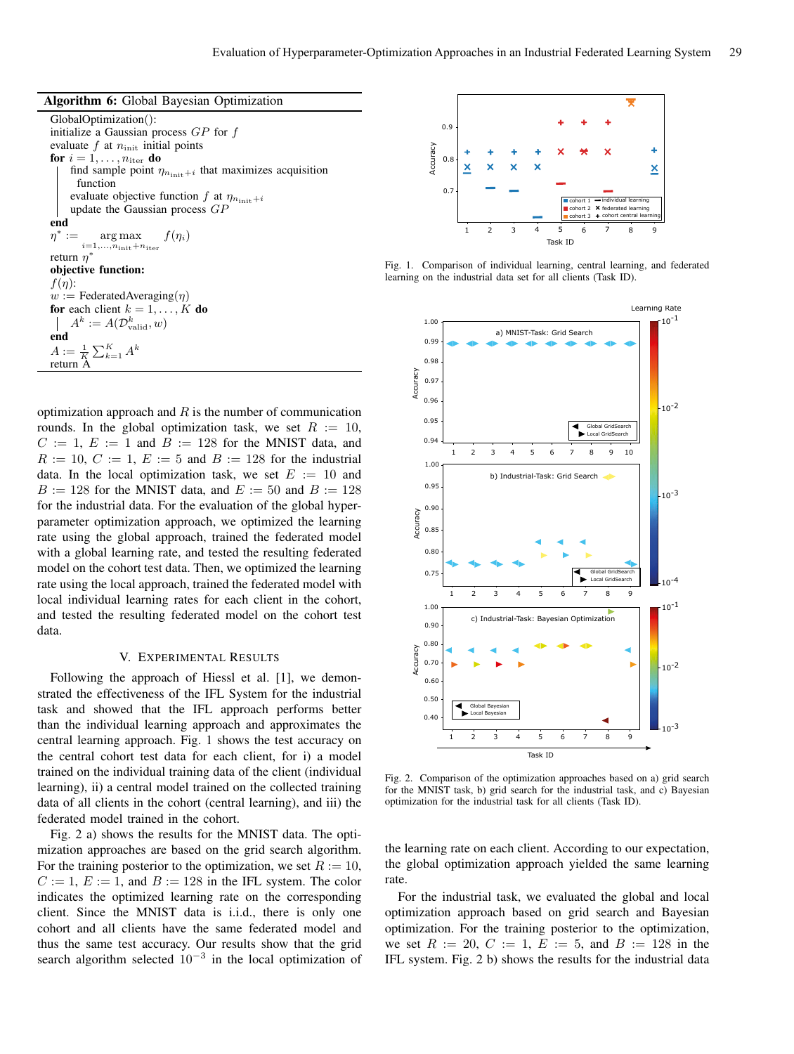GlobalOptimization(): initialize a Gaussian process *GP* for *f* evaluate *f* at  $n_{\text{init}}$  initial points for  $i = 1, \ldots, n_{\text{iter}}$  do find sample point  $\eta_{n_{\text{init}}+i}$  that maximizes acquisition function evaluate objective function  $f$  at  $\eta_{n_{\text{init}}+i}$ update the Gaussian process *GP* end  $\eta^* := \text{arg max}$  $i=1,\ldots,\stackrel{\sim}{n}_{\rm init}+n_{\rm iter}$  $f(\eta_i)$ return  $n^*$ objective function:  $f(\eta)$ :  $w :=$  FederatedAveraging( $\eta$ ) for each client  $k = 1, \ldots, K$  do  $A^k := A(\mathcal{D}_{\textrm{valid}}^k, w)$ end  $A := \frac{1}{K} \sum_{k=1}^{K} A^k$ return A

optimization approach and *R* is the number of communication rounds. In the global optimization task, we set  $R := 10$ ,  $C := 1$ ,  $E := 1$  and  $B := 128$  for the MNIST data, and  $R := 10$ ,  $C := 1$ ,  $E := 5$  and  $B := 128$  for the industrial data. In the local optimization task, we set  $E := 10$  and  $B := 128$  for the MNIST data, and  $E := 50$  and  $B := 128$ for the industrial data. For the evaluation of the global hyperparameter optimization approach, we optimized the learning rate using the global approach, trained the federated model with a global learning rate, and tested the resulting federated model on the cohort test data. Then, we optimized the learning rate using the local approach, trained the federated model with local individual learning rates for each client in the cohort, and tested the resulting federated model on the cohort test data.

# V. EXPERIMENTAL RESULTS

Following the approach of Hiessl et al. [1], we demonstrated the effectiveness of the IFL System for the industrial task and showed that the IFL approach performs better than the individual learning approach and approximates the central learning approach. Fig. 1 shows the test accuracy on the central cohort test data for each client, for i) a model trained on the individual training data of the client (individual learning), ii) a central model trained on the collected training data of all clients in the cohort (central learning), and iii) the federated model trained in the cohort.

Fig. 2 a) shows the results for the MNIST data. The optimization approaches are based on the grid search algorithm. For the training posterior to the optimization, we set  $R := 10$ ,  $C := 1$ ,  $E := 1$ , and  $B := 128$  in the IFL system. The color indicates the optimized learning rate on the corresponding client. Since the MNIST data is i.i.d., there is only one cohort and all clients have the same federated model and thus the same test accuracy. Our results show that the grid search algorithm selected  $10^{-3}$  in the local optimization of



Fig. 1. Comparison of individual learning, central learning, and federated learning on the industrial data set for all clients (Task ID).



Fig. 2. Comparison of the optimization approaches based on a) grid search for the MNIST task, b) grid search for the industrial task, and c) Bayesian optimization for the industrial task for all clients (Task ID).

the learning rate on each client. According to our expectation, the global optimization approach yielded the same learning rate.

For the industrial task, we evaluated the global and local optimization approach based on grid search and Bayesian optimization. For the training posterior to the optimization, we set  $R := 20$ ,  $C := 1$ ,  $E := 5$ , and  $B := 128$  in the IFL system. Fig. 2 b) shows the results for the industrial data